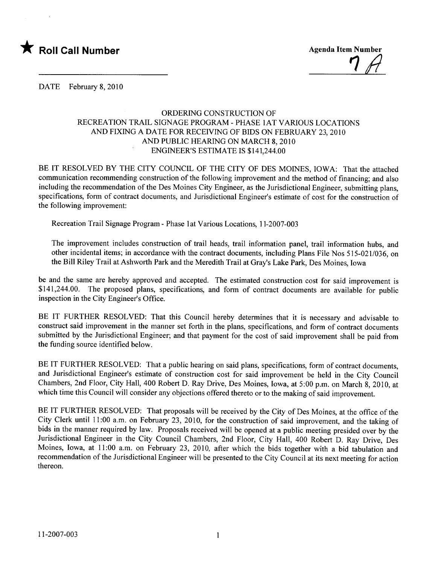



DATE February 8, 2010

## ORDERING CONSTRUCTION OF RECREATION TRAIL SIGNAGE PROGRAM - PHASE 1AT VARIOUS LOCATIONS AND FIXING A DATE FOR RECEIVING OF BIDS ON FEBRUARY 23, 2010 AND PUBLIC HEARING ON MARCH 8, 2010 ENGINEER'S ESTIMATE IS \$141,244.00

BE IT RESOLVED BY THE CITY COUNCIL OF THE CITY OF DES MOINES, IOWA: That the attached communication recommending construction of the following improvement and the method of financing; and also including the recommendation of the Des Moines City Engineer, as the Jurisdictional Engineer, submitting plans, specifications, form of contract documents, and Jurisdictional Engineer's estimate of cost for the construction of the following improvement:

Recreation Trail Signage Program - Phase lat Various Locations, 11-2007-003

The improvement includes construction of trail heads, trail information panel, trail information hubs, and other incidental items; in accordance with the contract documents, including Plans File Nos 515-021/036, on the Bill Riley Trail at Ashworth Park and the Meredith Trail at Gray's Lake Park, Des Moines, Iowa

be and the same are hereby approved and accepted. The estimated construction cost for said improvement is \$141,244.00. The proposed plans, specifications, and form of contract documents are available for public inspection in the City Engineer's Office.

BE IT FURTHER RESOLVED: That this Council hereby determines that it is necessary and advisable to construct said improvement in the manner set forth in the plans, specifications, and form of contract documents submitted by the Jurisdictional Engineer; and that payment for the cost of said improvement shall be paid from the funding source identified below.

BE IT FURTHER RESOLVED: That a public hearing on said plans, specifications, form of contract documents, and Jurisdictional Engineer's estimate of construction cost for said improvement be held in the City Council Chambers, 2nd Floor, City Hall, 400 Robert D. Ray Drive, Des Moines, Iowa, at 5:00 p.m. on March 8, 2010, at which time this Council will consider any objections offered thereto or to the making of said improvement.

BE IT FURTHER RESOLVED: That proposals will be received by the City of Des Moines, at the office of the City Clerk until 11 :00 a.m. on February 23, 2010, for the construction of said improvement, and the taking of bids in the manner required by law. Proposals received will be opened at a public meeting presided over by the Jurisdictional Engineer in the City Council Chambers, 2nd Floor, City Hall, 400 Robert D. Ray Drive, Des Moines, Iowa, at 11:00 a.m. on February 23, 2010, after which the bids together with a bid tabulation and recommendation of the Jurisdictional Engineer will be presented to the City Council at its next meeting for action thereon.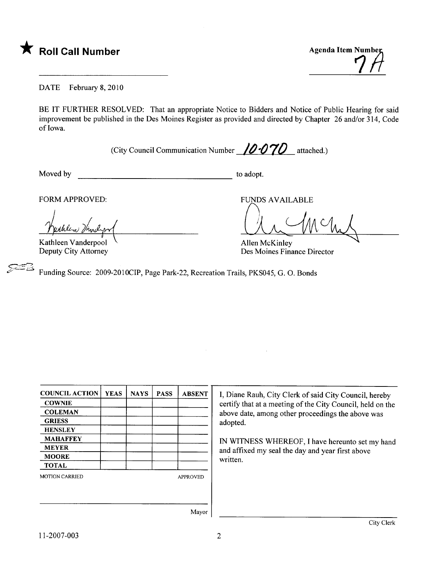

DATE February 8, 2010

BE IT FURTHER RESOLVED: That an appropriate Notice to Bidders and Notice of Public Hearing for said improvement be published in the Des Moines Register as provided and directed by Chapter 26 and/or 314, Code of Iowa.

(City Council Communication Number  $10·070$  attached.)

Moved by to adopt.

FORM APPROVED:

Kathleen Vanderpool Deputy City Attorney

OU M M

Allen McKinley Des Moines Finance Director

Funding Source: 2009-2010CIP, Page Park-22, Recreation Trails, PKS045, G. O. Bonds

| <b>COUNCIL ACTION</b> | <b>YEAS</b> | <b>NAYS</b> | <b>PASS</b> | <b>ABSENT</b>   |
|-----------------------|-------------|-------------|-------------|-----------------|
| <b>COWNIE</b>         |             |             |             |                 |
| <b>COLEMAN</b>        |             |             |             |                 |
| <b>GRIESS</b>         |             |             |             |                 |
| <b>HENSLEY</b>        |             |             |             |                 |
| <b>MAHAFFEY</b>       |             |             |             |                 |
| <b>MEYER</b>          |             |             |             |                 |
| <b>MOORE</b>          |             |             |             |                 |
| <b>TOTAL</b>          |             |             |             |                 |
| <b>MOTION CARRIED</b> |             |             |             | <b>APPROVED</b> |
|                       |             |             |             |                 |
|                       |             |             |             |                 |

I, Diane Rauh, City Clerk of said City Council, hereby certify that at a meeting of the City Council, held on the above date, among other proceedings the above was adopted.

IN WITNESS WHEREOF, I have hereunto set my hand and affixed my seal the day and year first above written.

Mayor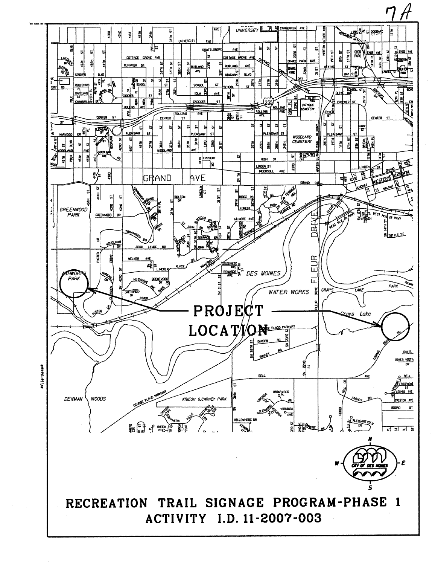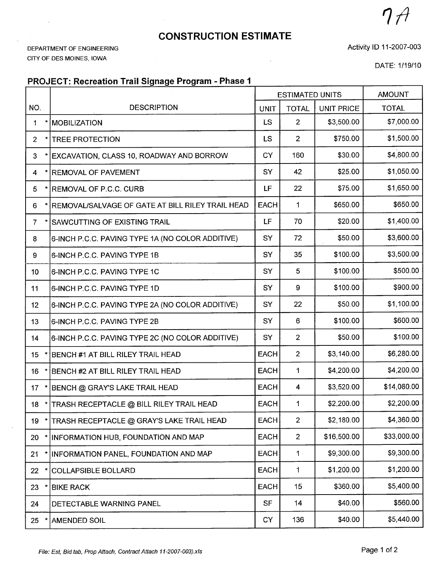## CONSTRUCTION ESTIMATE

DEPARTMENT OF ENGINEERING CITY OF DES MOINES, IOWA

Activity 10 11-2007-003

DATE: 1/19/10

 $7A$ 

## PROJECT: Recreation Trail Signage Program - Phase 1

|                           |                                                  | <b>ESTIMATED UNITS</b> |                | <b>AMOUNT</b>     |              |
|---------------------------|--------------------------------------------------|------------------------|----------------|-------------------|--------------|
| NO.                       | <b>DESCRIPTION</b>                               | <b>UNIT</b>            | <b>TOTAL</b>   | <b>UNIT PRICE</b> | <b>TOTAL</b> |
| 1                         | <b>MOBILIZATION</b>                              | <b>LS</b>              | $\overline{2}$ | \$3,500.00        | \$7,000.00   |
| $\star$<br>$\overline{2}$ | <b>TREE PROTECTION</b>                           | <b>LS</b>              | $\mathbf{2}$   | \$750.00          | \$1,500.00   |
| 3                         | EXCAVATION, CLASS 10, ROADWAY AND BORROW         | CY                     | 160            | \$30.00           | \$4,800.00   |
| 4                         | <b>REMOVAL OF PAVEMENT</b>                       | SY                     | 42             | \$25.00           | \$1,050.00   |
| 5<br>$\star$              | <b>REMOVAL OF P.C.C. CURB</b>                    | LF                     | 22             | \$75.00           | \$1,650.00   |
| 6                         | REMOVAL/SALVAGE OF GATE AT BILL RILEY TRAIL HEAD | <b>EACH</b>            | 1              | \$650.00          | \$650.00     |
| $\overline{7}$            | <b>SAWCUTTING OF EXISTING TRAIL</b>              | LF                     | 70             | \$20.00           | \$1,400.00   |
| 8                         | 6-INCH P.C.C. PAVING TYPE 1A (NO COLOR ADDITIVE) | SY                     | 72             | \$50.00           | \$3,600.00   |
| 9                         | 6-INCH P.C.C. PAVING TYPE 1B                     | <b>SY</b>              | 35             | \$100.00          | \$3,500.00   |
| 10                        | 6-INCH P.C.C. PAVING TYPE 1C                     | SY                     | 5              | \$100.00          | \$500.00     |
| 11                        | 6-INCH P.C.C. PAVING TYPE 1D                     | SY                     | 9              | \$100.00          | \$900.00     |
| 12                        | 6-INCH P.C.C. PAVING TYPE 2A (NO COLOR ADDITIVE) | SY                     | 22             | \$50.00           | \$1,100.00   |
| 13                        | 6-INCH P.C.C. PAVING TYPE 2B                     | SY                     | 6              | \$100.00          | \$600.00     |
| 14                        | 6-INCH P.C.C. PAVING TYPE 2C (NO COLOR ADDITIVE) | SY                     | $\overline{2}$ | \$50.00           | \$100.00     |
| 15 <sub>15</sub>          | BENCH #1 AT BILL RILEY TRAIL HEAD                | <b>EACH</b>            | $\overline{2}$ | \$3,140.00        | \$6,280.00   |
| 16                        | BENCH #2 AT BILL RILEY TRAIL HEAD                | <b>EACH</b>            | 1              | \$4,200.00        | \$4,200.00   |
| 17                        | BENCH @ GRAY'S LAKE TRAIL HEAD                   | <b>EACH</b>            | 4              | \$3,520.00        | \$14,080.00  |
|                           | 18 *   TRASH RECEPTACLE @ BILL RILEY TRAIL HEAD  | <b>EACH</b>            | 1              | \$2,200.00        | \$2,200.00   |
| 19                        | TRASH RECEPTACLE @ GRAY'S LAKE TRAIL HEAD        | <b>EACH</b>            | $\overline{2}$ | \$2,180.00        | \$4,360.00   |
| 20<br>$\star$             | INFORMATION HUB, FOUNDATION AND MAP              | <b>EACH</b>            | $\overline{2}$ | \$16,500.00       | \$33,000.00  |
| 21                        | INFORMATION PANEL, FOUNDATION AND MAP            | <b>EACH</b>            | $1 -$          | \$9,300.00        | \$9,300.00   |
| 22                        | <b>COLLAPSIBLE BOLLARD</b>                       | <b>EACH</b>            | 1              | \$1,200.00        | \$1,200.00   |
| 23                        | <b>BIKE RACK</b>                                 | <b>EACH</b>            | 15             | \$360.00          | \$5,400.00   |
| 24                        | DETECTABLE WARNING PANEL                         | <b>SF</b>              | 14             | \$40.00           | \$560.00     |
| 25                        | <b>AMENDED SOIL</b>                              | CY                     | 136            | \$40.00           | \$5,440.00   |